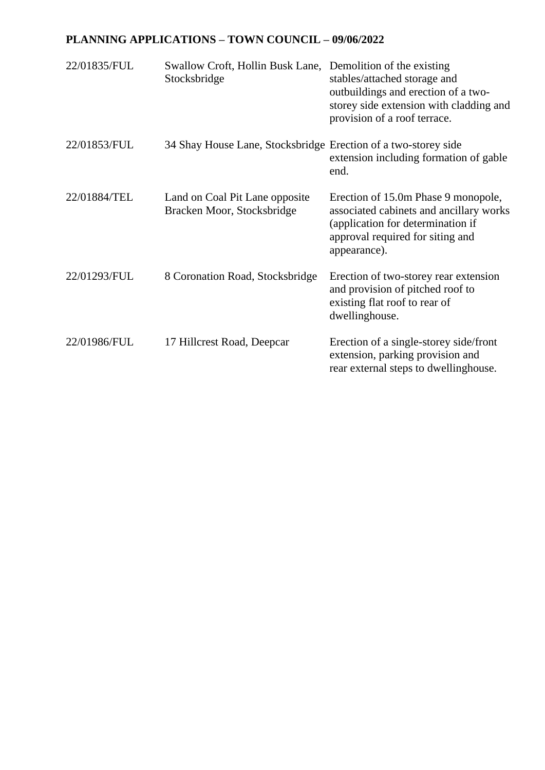## **PLANNING APPLICATIONS – TOWN COUNCIL – 09/06/2022**

| 22/01835/FUL | Swallow Croft, Hollin Busk Lane, Demolition of the existing<br>Stocksbridge | stables/attached storage and<br>outbuildings and erection of a two-<br>storey side extension with cladding and<br>provision of a roof terrace.                          |
|--------------|-----------------------------------------------------------------------------|-------------------------------------------------------------------------------------------------------------------------------------------------------------------------|
| 22/01853/FUL | 34 Shay House Lane, Stocksbridge Erection of a two-storey side              | extension including formation of gable<br>end.                                                                                                                          |
| 22/01884/TEL | Land on Coal Pit Lane opposite<br>Bracken Moor, Stocksbridge                | Erection of 15.0m Phase 9 monopole,<br>associated cabinets and ancillary works<br>(application for determination if<br>approval required for siting and<br>appearance). |
| 22/01293/FUL | 8 Coronation Road, Stocksbridge                                             | Erection of two-storey rear extension<br>and provision of pitched roof to<br>existing flat roof to rear of<br>dwellinghouse.                                            |
| 22/01986/FUL | 17 Hillcrest Road, Deepcar                                                  | Erection of a single-storey side/front<br>extension, parking provision and<br>rear external steps to dwellinghouse.                                                     |